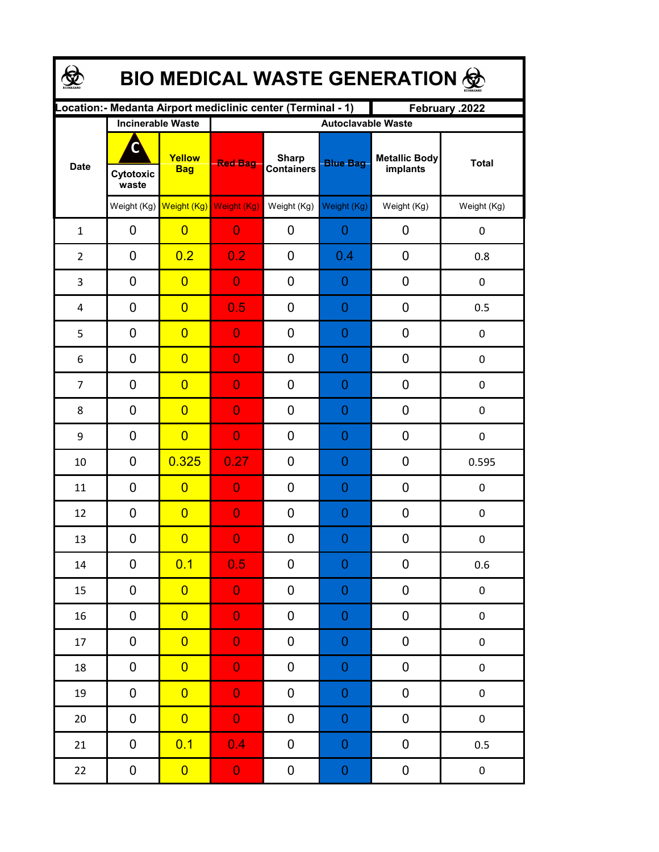| <b>BIO MEDICAL WASTE GENERATION ®</b> |                    |                                     |                                                              |                                   |                  |                                  |              |  |  |  |
|---------------------------------------|--------------------|-------------------------------------|--------------------------------------------------------------|-----------------------------------|------------------|----------------------------------|--------------|--|--|--|
|                                       |                    |                                     | Location: - Medanta Airport mediclinic center (Terminal - 1) |                                   |                  | February .2022                   |              |  |  |  |
| <b>Date</b>                           |                    | <b>Incinerable Waste</b>            | <b>Autoclavable Waste</b>                                    |                                   |                  |                                  |              |  |  |  |
|                                       | Cytotoxic<br>waste | Yellow<br><b>Bag</b>                | <b>Red Bag</b>                                               | <b>Sharp</b><br><b>Containers</b> | <b>Blue Bag</b>  | <b>Metallic Body</b><br>implants | <b>Total</b> |  |  |  |
|                                       |                    | Weight (Kg) Weight (Kg) Weight (Kg) |                                                              | Weight (Kg)                       | Weight (Kg)      | Weight (Kg)                      | Weight (Kg)  |  |  |  |
| $\mathbf{1}$                          | 0                  | $\overline{0}$                      | $\overline{0}$                                               | 0                                 | 0                | 0                                | 0            |  |  |  |
| $\overline{2}$                        | 0                  | 0.2                                 | 0.2                                                          | 0                                 | 0.4              | 0                                | 0.8          |  |  |  |
| 3                                     | 0                  | $\overline{0}$                      | $\overline{0}$                                               | 0                                 | 0                | 0                                | 0            |  |  |  |
| 4                                     | 0                  | $\overline{0}$                      | 0.5                                                          | 0                                 | 0                | $\mathbf 0$                      | 0.5          |  |  |  |
| 5                                     | 0                  | $\overline{0}$                      | $\overline{0}$                                               | 0                                 | 0                | $\mathbf 0$                      | 0            |  |  |  |
| 6                                     | 0                  | $\overline{0}$                      | $\overline{0}$                                               | 0                                 | 0                | $\mathbf 0$                      | 0            |  |  |  |
| $\overline{7}$                        | 0                  | $\overline{0}$                      | $\overline{0}$                                               | 0                                 | 0                | 0                                | 0            |  |  |  |
| 8                                     | $\mathbf 0$        | $\overline{0}$                      | $\overline{0}$                                               | 0                                 | 0                | $\mathbf 0$                      | $\pmb{0}$    |  |  |  |
| 9                                     | 0                  | $\overline{0}$                      | $\overline{0}$                                               | 0                                 | 0                | 0                                | 0            |  |  |  |
| 10                                    | 0                  | 0.325                               | 0.27                                                         | 0                                 | 0                | 0                                | 0.595        |  |  |  |
| 11                                    | 0                  | $\overline{0}$                      | $\overline{0}$                                               | 0                                 | 0                | 0                                | 0            |  |  |  |
| 12                                    | 0                  | $\overline{0}$                      | $\overline{0}$                                               | 0                                 | 0                | 0                                | 0            |  |  |  |
| 13                                    | 0                  | $\overline{0}$                      | $\Omega$                                                     | $\boldsymbol{0}$                  | $\Omega$         | $\boldsymbol{0}$                 | 0            |  |  |  |
| 14                                    | 0                  | 0.1                                 | 0.5                                                          | 0                                 | $\mathbf 0$      | 0                                | 0.6          |  |  |  |
| 15                                    | 0                  | $\overline{0}$                      | $\overline{0}$                                               | 0                                 | $\mathbf 0$      | $\pmb{0}$                        | $\pmb{0}$    |  |  |  |
| 16                                    | 0                  | $\overline{0}$                      | $\overline{0}$                                               | 0                                 | $\mathbf 0$      | $\pmb{0}$                        | $\pmb{0}$    |  |  |  |
| 17                                    | 0                  | $\overline{0}$                      | $\overline{0}$                                               | 0                                 | $\mathbf 0$      | $\pmb{0}$                        | $\pmb{0}$    |  |  |  |
| 18                                    | 0                  | $\overline{0}$                      | $\overline{0}$                                               | 0                                 | $\mathbf 0$      | 0                                | $\pmb{0}$    |  |  |  |
| 19                                    | 0                  | $\overline{0}$                      | $\overline{0}$                                               | 0                                 | $\mathbf 0$      | 0                                | $\pmb{0}$    |  |  |  |
| $20\,$                                | $\pmb{0}$          | $\overline{0}$                      | $\overline{0}$                                               | 0                                 | $\mathbf 0$      | $\pmb{0}$                        | $\pmb{0}$    |  |  |  |
| 21                                    | 0                  | 0.1                                 | 0.4                                                          | 0                                 | $\boldsymbol{0}$ | $\pmb{0}$                        | 0.5          |  |  |  |
| 22                                    | $\mathbf 0$        | $\overline{0}$                      | $\mathbf{O}^{\top}$                                          | 0                                 | $\boldsymbol{0}$ | $\pmb{0}$                        | $\pmb{0}$    |  |  |  |